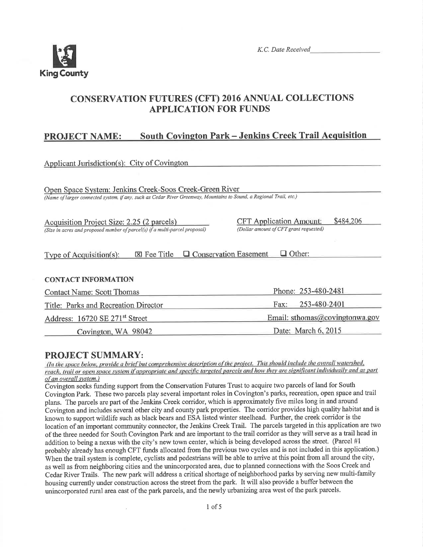

# **CONSERVATION FUTURES (CFT) 2016 ANNUAL COLLECTIONS APPLICATION FOR FUNDS**

#### **South Covington Park - Jenkins Creek Trail Acquisition PROJECT NAME:**

| Applicant Jurisdiction(s): City of Covington                                                                                                                                   |                                             |  |  |  |
|--------------------------------------------------------------------------------------------------------------------------------------------------------------------------------|---------------------------------------------|--|--|--|
|                                                                                                                                                                                |                                             |  |  |  |
| Open Space System: Jenkins Creek-Soos Creek-Green River<br>(Name of larger connected system, if any, such as Cedar River Greenway, Mountains to Sound, a Regional Trail, etc.) |                                             |  |  |  |
|                                                                                                                                                                                |                                             |  |  |  |
| Acquisition Project Size: 2.25 (2 parcels)                                                                                                                                     | \$484,206<br><b>CFT</b> Application Amount: |  |  |  |
| (Size in acres and proposed number of parcel(s) if a multi-parcel proposal)                                                                                                    | (Dollar amount of CFT grant requested)      |  |  |  |
|                                                                                                                                                                                |                                             |  |  |  |
| $\boxtimes$ Fee Title $\Box$ Conservation Easement<br>$\Box$ Other:<br><b>Type of Acquisition(s):</b>                                                                          |                                             |  |  |  |
|                                                                                                                                                                                |                                             |  |  |  |
| <b>CONTACT INFORMATION</b>                                                                                                                                                     |                                             |  |  |  |
| <b>Contact Name: Scott Thomas</b>                                                                                                                                              | Phone: 253-480-2481                         |  |  |  |
| Title: Parks and Recreation Director                                                                                                                                           | 253-480-2401<br>Fax:                        |  |  |  |
| Address: 16720 SE 271 <sup>st</sup> Street                                                                                                                                     | Email: sthomas@covingtonwa.gov              |  |  |  |
| Covington, WA 98042                                                                                                                                                            | Date: March 6, 2015                         |  |  |  |
|                                                                                                                                                                                |                                             |  |  |  |

### **PROJECT SUMMARY:**

(In the space below, provide a brief but comprehensive description of the project. This should include the overall watershed, reach, trail or open space system if appropriate and specific targeted parcels and how they are significant individually and as part of an overall system.)

Covington seeks funding support from the Conservation Futures Trust to acquire two parcels of land for South Covington Park. These two parcels play several important roles in Covington's parks, recreation, open space and trail plans. The parcels are part of the Jenkins Creek corridor, which is approximately five miles long in and around Covington and includes several other city and county park properties. The corridor provides high quality habitat and is known to support wildlife such as black bears and ESA listed winter steelhead. Further, the creek corridor is the location of an important community connector, the Jenkins Creek Trail. The parcels targeted in this application are two of the three needed for South Covington Park and are important to the trail corridor as they will serve as a trail head in addition to being a nexus with the city's new town center, which is being developed across the street. (Parcel #1 probably already has enough CFT funds allocated from the previous two cycles and is not included in this application.) When the trail system is complete, cyclists and pedestrians will be able to arrive at this point from all around the city, as well as from neighboring cities and the unincorporated area, due to planned connections with the Soos Creek and Cedar River Trails. The new park will address a critical shortage of neighborhood parks by serving new multi-family housing currently under construction across the street from the park. It will also provide a buffer between the unincorporated rural area east of the park parcels, and the newly urbanizing area west of the park parcels.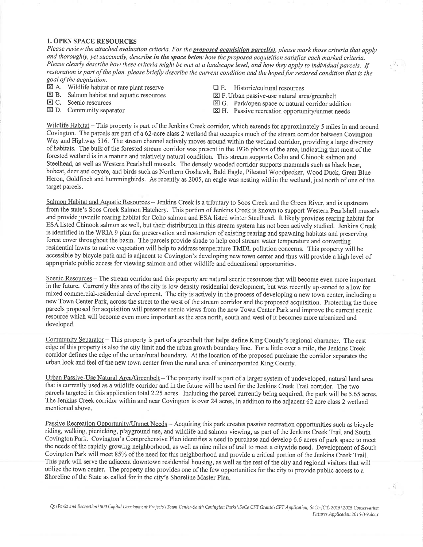#### 1. OPEN SPACE RESOURCES

Please review the attached evaluation criteria. For the **proposed acquisition parcel(s)**, please mark those criteria that apply and thoroughly, yet succinctly, describe in the space below how the proposed acquisition satisfies each marked criteria. Please clearly describe how these criteria might be met at a landscape level, and how they apply to individual parcels. If restoration is part of the plan, please briefly describe the current condition and the hoped for restored condition that is the goal of the acquisition.

- 
- $\overline{\boxtimes}$  A. Wildlife habitat or rare plant reserve<br>  $\overline{\boxtimes}$  E. Historic/cultural resources<br>  $\overline{\boxtimes}$  F. Urban passive-use natural area/greenbelt  $\boxtimes$  B. Salmon habitat and aquatic resources  $\boxtimes$  C. Scenic resources
- 
- 
- 
- 
- E C. Scenic resources example and E G. Park/open space or natural corridor addition<br>
E D. Community separator E G. Rassive recreation opportunity/unmet needs
	- $\boxtimes$  H. Passive recreation opportunity/unmet needs

Wildlife Habitat - This property is part of the Jenkins Creek corridor, which extends for approximately 5 miles in and around Covington. The parcels are part of a 62-acre class 2 wetland that occupies much of the stream corridor between Covington Way and Highway 516. The stream channel actively moves around within the wetland corridor, providing a large diversity of habitats. The bulk of the forested stream corridor was present in the 1936 photos of the area, indicating that most of the forested wetland is in a mature and relatively natural condition. This stream supports Coho and Chinook salmon and Steelhead, as well as Western Pearlshell mussels. The densely wooded corridor supports mammals such as black bear, bobcat, deer and coyote, and birds such as Northern Goshawk, Bald Eagle, Pileated'Woodpecker, Wood Duck, Great Blue Heron, Goldfinch and hummingbirds. As recently as 2005, an eagle was nesting within the wetland, just north of one of the target parcels.

Salmon Habitat and Aquatic Resources - Jenkins Creek is a tributary to Soos Creek and the Green River, and is upstream from the state's Soos Creek Salmon Hatchery. This portion of Jenkins Creek is known to support Western Pearlshell mussels and provide juvenile rearing habitat for Coho salmon and ESA listed winter Steelhead. It likely provides rearing habitat for ESA listed Chinook salmon as well, but their distribution in this stream system has not been actively studied. Jenkins Creek is identified in the WRIA 9 plan for preservation and restoration of existing rearing and spawning habitats and preserving forest cover throughout the basin. The parcels provide shade to help cool stream water temperature and converting residential lawns to native vegetation will help to address temperature TMDL pollution concerns. This property will be accessible by bicycle path and is adjacent to Covington's developing new town center and thus will provide a high level of appropriate public access for viewing salmon and other wildlife and educational opportunities.

Scenic Resources – The stream corridor and this property are natural scenic resources that will become even more important in the future. Currently this area of the city is low density residential development, but was recently up-zoned to allow for mixed commercial-residential development. The city is actively in the process of developing a new town center, including <sup>a</sup> new Town Center Park, across the street to the west of the stream corridor and the proposed acquisition. Protecting the three parcels proposed for acquisition will preserve scenic views from the new Town Center Park and improve the current scenic resource which will become even more important as the area north, south and west of it becomes more urbanized and developed.

Community Separator - This property is part of a greenbelt that helps define King County's regional character. The east edge of this property is also the city limit and the urban growth boundary line. For a little over a mile, the Jenkins Creek corridor defines the edge of the urban/rural boundary. At the location of the proposed purchase the corridor separates the urban look and feel of the new town center from the rural area of unincorporated King County.

Urban Passive-Use Natural Area/Greenbelt – The property itself is part of a larger system of undeveloped, natural land area that is currently used as a wildlife corridor and in the future will be used for the Jenkins Creek Trail corridor. The two parcels targeted in this application total 2.25 acres. Including the parcel currently being acquired, the park will be 5.65 acres. The Jenkins Creek corridor within and near Covington is over 24 acres, in addition to the adjacent 62 acre class 2 wetland mentioned above.

Passive Recreation Opportunity/Unmet Needs - Acquiring this park creates passive recreation opportunities such as bicycle riding, walking, picnicking, playground use, and wildlife and salmon viewing, as part of the Jenkins Creek Trail and South Covington Park, Covington's Comprehensive Plan identifies a need to purchase and develop 6.6 acres of park space to meet the needs of the rapidly growing neighborhood, as well as nine miles of trail to meet a citywide need. Development of South Covington Park will meet 85%o of the need for this neighborhood and provide a critical portion of the Jenkins Creek Trail. This park will serve the adjacent downtown residential housing, as well as the rest of the city and regional visitors that will utilize the town center. The property also provides one of the few opportunities for the city to provide public access to a Shoreline of the State as called for in the city's Shoreline Master Plan.

Q:\Parks and Recreation\800 Capital Development Projects\Town Center-South Covington Parks\SoCo CFT Grants\CFT Application, SoCo-ICT, 2015\2015 Conservation Futures Application 2015-3-9.docx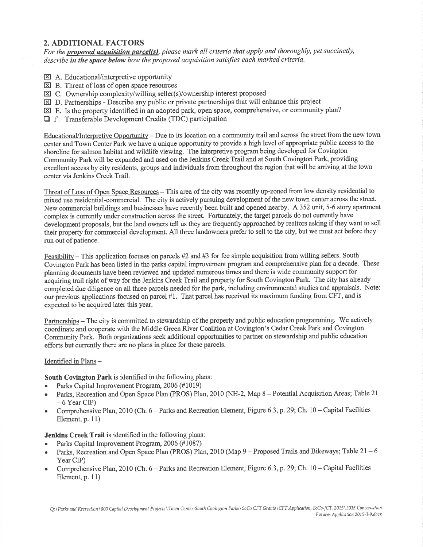## 2. ADDITIONAL FACTORS

For the **proposed acquisition parcel(s)**, please mark all criteria that apply and thoroughly, yet succinctly, describe in the space below how the proposed acquisition satisfies each marked criteria.

- $\boxtimes$  A. Educational/interpretive opportunity
- $\boxtimes$  B. Threat of loss of open space resources
- $\boxtimes$  C. Ownership complexity/willing seller(s)/ownership interest proposed
- $\boxtimes$  D. Partnerships Describe any public or private partnerships that will enhance this project
- $\boxtimes$  E. Is the property identified in an adopted park, open space, comprehensive, or community plan?
- E F. Transferable Development Credits (TDC) participation

Educational/Interpretive Opportunity - Due to its location on a community trail and across the street from the new town center and Town Center Park we have a unique opportunity to provide a high level of appropriate public access to the shoreline for salmon habitat and wildlife viewing. The interpretive program being developed for Covington Community Park will be expanded and used on the Jenkins Creek Trail and at South Covington Park, providing excellent access by city residents, groups and individuals from throughout the region that will be arriving at the town center via Jenkins Creek Trail.

Threat of Loss of Open Space Resources - This area of the city was recently up-zoned from low density residential to mixed use residential-commercial. The city is actively pursuing development of the new town center across the street. New commercial buildings and businesses have recently been built and opened nearby. A 352 unit, 5-6 story apartrnent complex is currently under construction across the street. Fortunately, the target parcels do not currently have development proposals, but the land owners tell us they are frequently approached by realtors asking if they want to sell their property for commercial development. All three landowners prefer to sell to the city, but we must act before they run out of patience.

Feasibility – This application focuses on parcels #2 and #3 for fee simple acquisition from willing sellers. South Covington Park has been listed in the parks capital improvement program and comprehensive plan for a decade. These planning documents have been reviewed and updated numerous times and there is wide community support for acquiring trail right of way for the Jenkins Creek Trail and property for South Covington Park. The city has already completed due diligence on all three parcels needed for the park, including environmental studies and appraisals. Note: our previous applications focused on parcel #1. That parcel has received its maximum funding from CFT, and is expected to be acquired later this year.

Partnerships – The city is committed to stewardship of the property and public education programming. We actively coordinate and cooperate with the Middle Green River Coalition at Covington's Cedar Creek Park and Covington Community Park. Both organizations seek additional opportunities to partner on stewardship and public education efforts but currently there are no plans in place for these parcels.

#### Identified in Plans -

South Covington Park is identified in the following plans:

- . Parks Capital Improvement Program, 2006 (#1019)
- Parks, Recreation and Open Space Plan (PROS) Plan, 2010 (NH-2, Map 8 Potential Acquisition Areas; Table 21  $-6$  Year CIP)
- . Comprehensive Plan, 2010 (Ch. 6 Parks and Recreation Element, Figure 6.3, p.29; Ch. 10 Capital Facilities Element, p. 11)

#### Jenkins Creek Trail is identified in the following plans:

- . Parks Capital Improvement Program, 2006 (#1087)
- Parks, Recreation and Open Space Plan (PROS) Plan, 2010 (Map 9 Proposed Trails and Bikeways; Table 21 6 Year CIP)
- . Comprehensive Plan, 2010 (Ch, 6 Parks and Recreation Element, Figure 6,3,p.29; Ch. 10 Capital Facilities Element, p. 1l)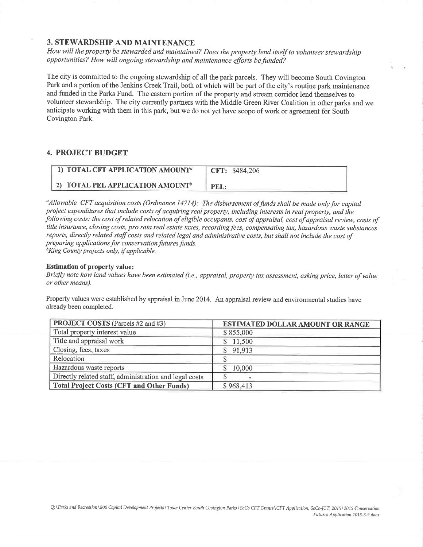#### 3. STEWARDSHIP AND MAINTENANCE

How will the property be stewarded and maintained? Does the property lend itself to volunteer stewardship opportunities? How will ongoing stewardship and maintenance efforts befunded?

The city is committed to the ongoing stewardship of all the park parcels. They will become South Covington Park and a portion of the Jenkins Creek Trail, both of which will be part of the city's routine park maintenance and funded in the Parks Fund. The eastern portion of the property and stream corridor lend themselves to volunteer stewardship. The city currently partners with the Middle Green River Coalition in other parks and we anticipate working with them in this park, but we do not yet have scope of work or agreement for South Covington Park.

#### 4. PROJECT BUDGET

| 1) TOTAL CFT APPLICATION AMOUNT <sup>a</sup> | <b>CFT: \$484,206</b> |
|----------------------------------------------|-----------------------|
| 2) TOTAL PEL APPLICATION AMOUNT <sup>b</sup> | PEL:                  |

 $^a$ Allowable CFT acquisition costs (Ordinance 14714): The disbursement of funds shall be made only for capital project expenditures that include costs of acquiring real property, including interests in real property, and the following costs: the cost of related relocation of eligible occupants, cost of appraisal, cost of appraisal review, costs of title insurance, closing costs, pro rata real estate taxes, recording fees, compensating tax, hazardous waste substances reports, directly related staff costs and related legal and administrative costs, but shall not include the cost of preparing applications for conservation futures funds.<br> ${}^{b}$ King County projects only, if applicable.

#### Estimation of property value:

Briefly note how land values have been estimated (i.e., appraisal, property tax assessment, asking price, letter of value or other means).

Property values were established by appraisal in June 2014. An appraisal review and environmental studies have already been completed.

| <b>PROJECT COSTS</b> (Parcels #2 and #3)               | <b>ESTIMATED DOLLAR AMOUNT OR RANGE</b> |
|--------------------------------------------------------|-----------------------------------------|
| Total property interest value                          | \$855,000                               |
| Title and appraisal work                               | \$11,500                                |
| Closing, fees, taxes                                   | \$91,913                                |
| Relocation                                             |                                         |
| Hazardous waste reports                                | 10,000                                  |
| Directly related staff, administration and legal costs |                                         |
| <b>Total Project Costs (CFT and Other Funds)</b>       | \$968,413                               |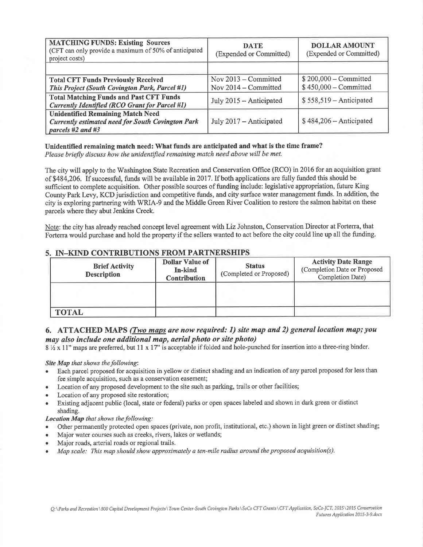| <b>MATCHING FUNDS: Existing Sources</b><br>(CFT can only provide a maximum of 50% of anticipated<br>project costs)            | <b>DATE</b><br>(Expended or Committed)         | <b>DOLLAR AMOUNT</b><br>(Expended or Committed)  |
|-------------------------------------------------------------------------------------------------------------------------------|------------------------------------------------|--------------------------------------------------|
|                                                                                                                               |                                                |                                                  |
| <b>Total CFT Funds Previously Received</b><br>This Project (South Covington Park, Parcel #1)                                  | Nov $2013$ – Committed<br>Nov 2014 – Committed | $$200,000 - Committee$<br>$$450,000 - Committee$ |
| <b>Total Matching Funds and Past CFT Funds</b><br>Currently Identified (RCO Grant for Parcel #1)                              | July 2015 – Anticipated                        | $$558,519 - Anticipated$                         |
| <b>Unidentified Remaining Match Need</b><br><b>Currently estimated need for South Covington Park</b><br>parcels $#2$ and $#3$ | July 2017 – Anticipated                        | $$484,206 - Anticipated$                         |

# Unidentified remaining match need: What funds are anticipated and what is the time frame?

Please briefly discuss how the unidentified remaining match need above will be met.

The city will apply to the Washington State Recreation and Conservation Office (RCO) in 2016 for an acquisition grant of \$484,206. If successful, funds will be available in 2017. If both applications are fully funded this should be sufficient to complete acquisition. Other possible sources of funding include: legislative appropriation, future King County Park Levy, KCD jurisdiction and competitive funds, and city surface water management funds. In addition, the city is exploring partnering with WRIA-9 and the Middle Green River Coalition to restore the salmon habitat on these parcels where they abut Jenkins Creek.

Note: the city has already reached concept level agreement with Liz Johnston, Conservation Director at Forterra, that Forterra would purchase and hold the property if the sellers wanted to act before the city could line up all the funding.

## 5. IN-KIND CONTRIBUTIONS FROM PARTNERSHIPS

| <b>Brief Activity</b><br><b>Description</b> | <b>Dollar Value of</b><br><b>In-kind</b><br><b>Contribution</b> | <b>Status</b><br>(Completed or Proposed) | <b>Activity Date Range</b><br>(Completion Date or Proposed<br>Completion Date) |
|---------------------------------------------|-----------------------------------------------------------------|------------------------------------------|--------------------------------------------------------------------------------|
|                                             |                                                                 |                                          |                                                                                |
| <b>TOTAL</b>                                |                                                                 |                                          |                                                                                |

### 6. ATTACHED MAPS (*Two maps are now required: 1*) site map and 2) general location map; you may also include one additional map, aerial photo or site photo)

 $8\frac{1}{2} \times 11$ " maps are preferred, but 11 x 17" is acceptable if folded and hole-punched for insertion into a three-ring binder.

#### Site Map that shows the following:

- Each parcel proposed for acquisition in yellow or distinct shading and an indication of any parcel proposed for less than fee simple acquisition, such as a conservation easement;
- Location of any proposed development to the site such as parking, trails or other facilities;
- Location of any proposed site restoration;
- Existing adjacent public (local, state or federal) parks or open spaces labeled and shown in dark green or distinct shading.

#### Location Map that shows the following:

- Other permanently protected open spaces (private, non profit, institutional, etc.) shown in light green or distinct shading;  $\bullet$
- Major water courses such as creeks, rivers, lakes or wetlands;
- Major roads, arterial roads or regional trails.
- Map scale: This map should show approximately a ten-mile radius around the proposed acquisition(s).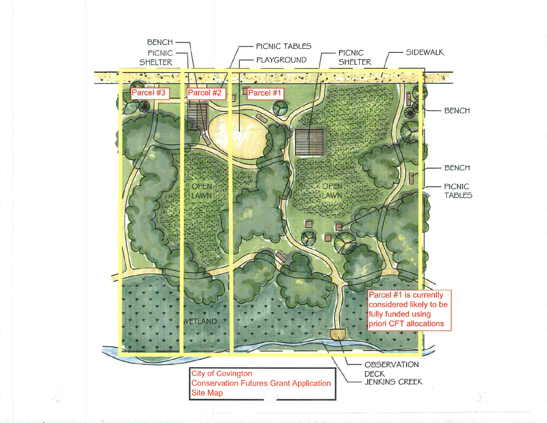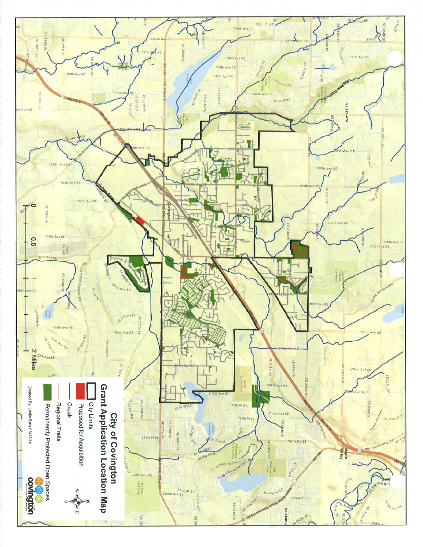